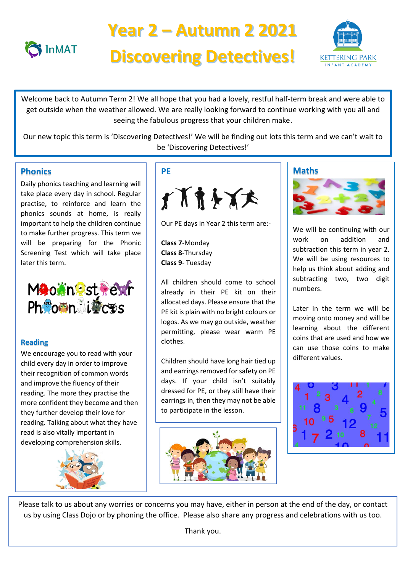

# **Year 2 – Autumn 2 2021 Discovering Detectives!**



 Welcome back to Autumn Term 2! We all hope that you had a lovely, restful half-term break and were able to seeing the fabulous progress that your children make. get outside when the weather allowed. We are really looking forward to continue working with you all and

 Our new topic this term is 'Discovering Detectives!' We will be finding out lots this term and we can't wait to<br>
in the same way to consider the canonic way to consider the same way to be a shifted with the canonic wait to be 'Discovering Detectives!'

# **Phonics**

Daily phonics teaching and learning will take place every day in school. Regular practise, to reinforce and learn the phonics sounds at home, is really important to help the children continue to make further progress. This term we will be preparing for the Phonic Screening Test which will take place later this term.



# **Reading**

We encourage you to read with your child every day in order to improve their recognition of common words and improve the fluency of their reading. The more they practise the more confident they become and then they further develop their love for reading. Talking about what they have read is also vitally important in developing comprehension skills.



# **PE**



Our PE days in Year 2 this term are:-

**Class 7**-Monday **Class 8**-Thursday **Class 9**- Tuesday

All children should come to school already in their PE kit on their allocated days. Please ensure that the PE kit is plain with no bright colours or logos. As we may go outside, weather permitting, please wear warm PE clothes.

Children should have long hair tied up and earrings removed for safety on PE days. If your child isn't suitably dressed for PE, or they still have their earrings in, then they may not be able to participate in the lesson.



## **Maths**



We will be continuing with our work on addition and subtraction this term in year 2. We will be using resources to help us think about adding and subtracting two, two digit numbers.

Later in the term we will be moving onto money and will be learning about the different coins that are used and how we can use those coins to make different values.



Please talk to us about any worries or concerns you may have, either in person at the end of the day, or contact us by using Class Dojo or by phoning the office. Please also share any progress and celebrations with us too.